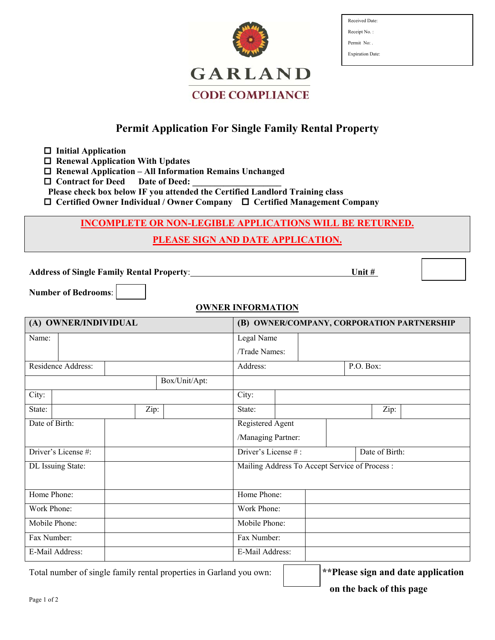

| Received Date:          |
|-------------------------|
| Receipt No.:            |
| Permit No:              |
| <b>Expiration Date:</b> |

# **Permit Application For Single Family Rental Property**

 **Initial Application** 

 **Renewal Application With Updates** 

 **Renewal Application – All Information Remains Unchanged** 

 $\Box$  Contract for Deed Date of Deed:

 **Please check box below IF you attended the Certified Landlord Training class** 

 **Certified Owner Individual / Owner Company Certified Management Company** 

### **INCOMPLETE OR NON-LEGIBLE APPLICATIONS WILL BE RETURNED.**

## **PLEASE SIGN AND DATE APPLICATION.**

**Address of Single Family Rental Property**: **Unit #** 

**Number of Bedrooms**:

#### **OWNER INFORMATION**

| (A) OWNER/INDIVIDUAL |  |  |                                                | (B) OWNER/COMPANY, CORPORATION PARTNERSHIP |                                       |  |  |  |      |  |
|----------------------|--|--|------------------------------------------------|--------------------------------------------|---------------------------------------|--|--|--|------|--|
| Name:                |  |  |                                                |                                            | Legal Name                            |  |  |  |      |  |
|                      |  |  |                                                |                                            | /Trade Names:                         |  |  |  |      |  |
| Residence Address:   |  |  |                                                | Address:<br>P.O. Box:                      |                                       |  |  |  |      |  |
| Box/Unit/Apt:        |  |  |                                                |                                            |                                       |  |  |  |      |  |
| City:                |  |  |                                                |                                            | City:                                 |  |  |  |      |  |
| State:               |  |  | Zip:                                           |                                            | State:                                |  |  |  | Zip: |  |
| Date of Birth:       |  |  |                                                |                                            | Registered Agent                      |  |  |  |      |  |
|                      |  |  |                                                |                                            | /Managing Partner:                    |  |  |  |      |  |
| Driver's License #:  |  |  |                                                |                                            | Driver's License #:<br>Date of Birth: |  |  |  |      |  |
| DL Issuing State:    |  |  | Mailing Address To Accept Service of Process : |                                            |                                       |  |  |  |      |  |
|                      |  |  |                                                |                                            |                                       |  |  |  |      |  |
| Home Phone:          |  |  | Home Phone:                                    |                                            |                                       |  |  |  |      |  |
| Work Phone:          |  |  | Work Phone:                                    |                                            |                                       |  |  |  |      |  |
| Mobile Phone:        |  |  | Mobile Phone:                                  |                                            |                                       |  |  |  |      |  |
| Fax Number:          |  |  | Fax Number:                                    |                                            |                                       |  |  |  |      |  |
| E-Mail Address:      |  |  | E-Mail Address:                                |                                            |                                       |  |  |  |      |  |

Total number of single family rental properties in Garland you own: **\*\*Please sign and date application** 

 **on the back of this page**